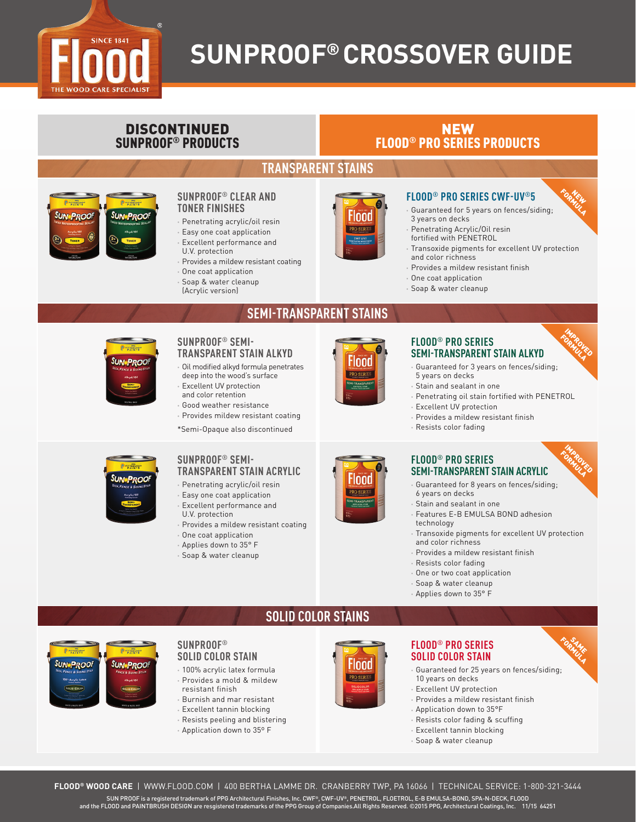

# **SUNPROOF® CROSSOVER GUIDE**

### DISCONTINUED SUNPROOF® PRODUCTS

### NEW FLOOD® PRO SERIES PRODUCTS

### **TRANSPARENT STAINS**



#### **SUNPROOF® CLEAR AND TONER FINISHES**

- **•** Penetrating acrylic/oil resin
- **•** Easy one coat application
- **•** Excellent performance and U.V. protection
- **•** Provides a mildew resistant coating
- **•** One coat application
- **•** Soap & water cleanup (Acrylic version)

**SUNPROOF® SEMI-**







- **•** Guaranteed for 5 years on fences/siding; 3 years on decks **•** Penetrating Acrylic/Oil resin
- fortified with PENETROL
- **•** Transoxide pigments for excellent UV protection and color richness
- **•** Provides a mildew resistant finish

**FLOOD® PRO SERIES CWF-UV®5**

- **•** One coat application
- **•** Soap & water cleanup



# **SEMI-TRANSPARENT STAINS**

## **TRANSPARENT STAIN ALKYD •** Oil modified alkyd formula penetrates

- deep into the wood's surface **•** Excellent UV protection and color retention
- **•** Good weather resistance
- **•** Provides mildew resistant coating \*Semi-Opaque also discontinued



e

lood

#### **FLOOD® PRO SERIES SEMI-TRANSPARENT STAIN ALKYD**

**•** Guaranteed for 3 years on fences/siding; 5 years on decks

IMPROVED FORMULA

**FORMULA** NEW

IMPROVED **FORMULA** 

FORMULA SAME.

- **•** Stain and sealant in one
- **•** Penetrating oil stain fortified with PENETROL
- **•** Excellent UV protection
- **•** Provides a mildew resistant finish
- **•** Resists color fading

#### **FLOOD® PRO SERIES SEMI-TRANSPARENT STAIN ACRYLIC**

- **•** Guaranteed for 8 years on fences/siding; 6 years on decks
- 
- **•** Stain and sealant in one
- **•** Features E-B EMULSA BOND adhesion technology
- **•** Transoxide pigments for excellent UV protection and color richness
- **•** Provides a mildew resistant finish
- **•** Resists color fading
- **•** One or two coat application
- **•** Soap & water cleanup
- **•** Applies down to 35° F

**UN PROOF SUN-PROOF** 

### **SOLID COLOR STAINS**



#### **FLOOD® PRO SERIES SOLID COLOR STAIN**

- **•** Guaranteed for 25 years on fences/siding; 10 years on decks
- **•** Excellent UV protection
- **•** Provides a mildew resistant finish
- **•** Application down to 35°F
- **•** Resists color fading & scuffing
- **•** Excellent tannin blocking
- **•** Soap & water cleanup



- 
- 
- **•** Applies down to 35° F
- 

SUN•PROOI

### **SUNPROOF® SEMI-TRANSPARENT STAIN ACRYLIC**

- 
- **•** Excellent performance and
- 
- 
- 
- 

**•** Penetrating acrylic/oil resin **•** Easy one coat application

- U.V. protection
- **•** Provides a mildew resistant coating
- **•** One coat application
- 

**SUNPROOF® SOLID COLOR STAIN •** 100% acrylic latex formula **•** Provides a mold & mildew

resistant finish **•** Burnish and mar resistant **•** Excellent tannin blocking **•** Resists peeling and blistering **•** Application down to 35º F

**•** Soap & water cleanup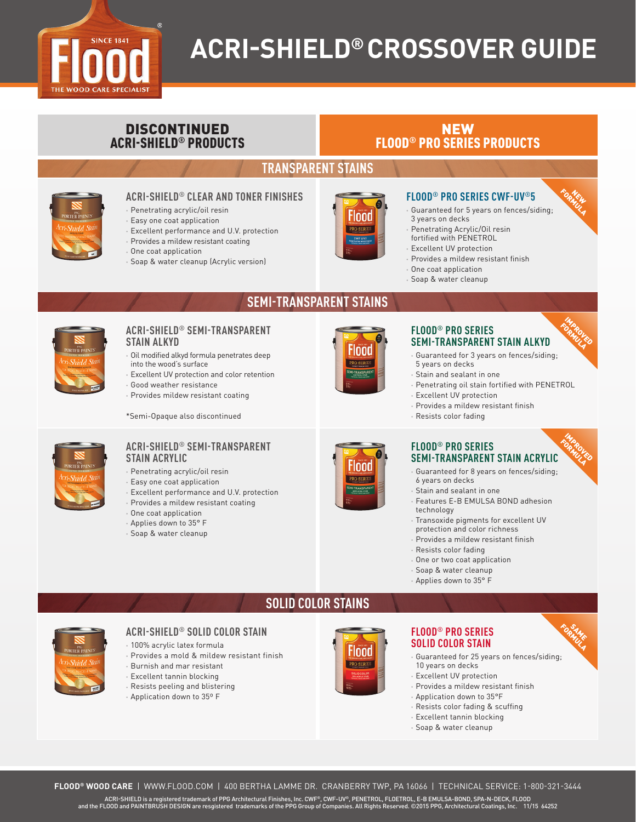

# **ACRI-SHIELD® CROSSOVER GUIDE**

### DISCONTINUED ACRI-SHIELD® PRODUCTS

### NEW FLOOD® PRO SERIES PRODUCTS

### **TRANSPARENT STAINS**

**SEMI-TRANSPARENT STAINS**



#### **ACRI-SHIELD® CLEAR AND TONER FINISHES**

- **•** Penetrating acrylic/oil resin
- **•** Easy one coat application
- **•** Excellent performance and U.V. protection
- **•** Provides a mildew resistant coating
- **•** One coat application
- **•** Soap & water cleanup (Acrylic version)



#### **FLOOD® PRO SERIES CWF-UV®5**

- **•** Guaranteed for 5 years on fences/siding; 3 years on decks
- **•** Penetrating Acrylic/Oil resin
- fortified with PENETROL **•** Excellent UV protection
- **•** Provides a mildew resistant finish
- **•** One coat application
- 
- **•** Soap & water cleanup



## **ACRI-SHIELD® SEMI-TRANSPARENT**

- **STAIN ALKYD •** Oil modified alkyd formula penetrates deep
- into the wood's surface
- **•** Excellent UV protection and color retention
- **•** Good weather resistance
- **•** Provides mildew resistant coating

\*Semi-Opaque also discontinued



#### **FLOOD® PRO SERIES SEMI-TRANSPARENT STAIN ALKYD**

- **•** Guaranteed for 3 years on fences/siding;
- 5 years on decks
- **•** Stain and sealant in one **•** Penetrating oil stain fortified with PENETROL
- **•** Excellent UV protection
- **•** Provides a mildew resistant finish
- **•** Resists color fading

#### **ACRI-SHIELD® SEMI-TRANSPARENT STAIN ACRYLIC**

- **•** Penetrating acrylic/oil resin
- **•** Easy one coat application
- **•** Excellent performance and U.V. protection
- **•** Provides a mildew resistant coating
- **•** One coat application
- **•** Applies down to 35° F
- **•** Soap & water cleanup



#### **FLOOD® PRO SERIES SEMI-TRANSPARENT STAIN ACRYLIC FORMULA**

- **•** Guaranteed for 8 years on fences/siding; 6 years on decks
- **•** Stain and sealant in one
- **•** Features E-B EMULSA BOND adhesion technology
- **•** Transoxide pigments for excellent UV
- protection and color richness
- **•** Provides a mildew resistant finish
- **•** Resists color fading
- **•** One or two coat application
- **•** Soap & water cleanup
- **•** Applies down to 35° F



#### **ACRI-SHIELD® SOLID COLOR STAIN**

- **•** 100% acrylic latex formula
- **•** Provides a mold & mildew resistant finish
- **•** Burnish and mar resistant
- **•** Excellent tannin blocking
- **•** Resists peeling and blistering
- **•** Application down to 35º F



#### **FLOOD® PRO SERIES SOLID COLOR STAIN**

- **•** Guaranteed for 25 years on fences/siding; 10 years on decks FORMULA
- **•** Excellent UV protection
- **•** Provides a mildew resistant finish
- **•** Application down to 35°F
- **•** Resists color fading & scuffing
- **•** Excellent tannin blocking
- **•** Soap & water cleanup

**SOLID COLOR STAINS**

- 
- 
- 
- 



IMPROVED **FORMULA** 

**FORMULA** NEW

IMPROVED

SAME.